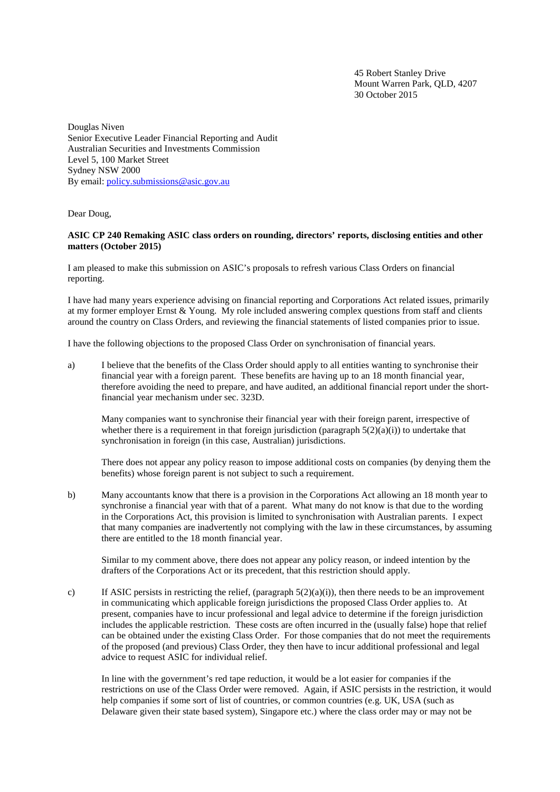45 Robert Stanley Drive Mount Warren Park, QLD, 4207 30 October 2015

Douglas Niven Senior Executive Leader Financial Reporting and Audit Australian Securities and Investments Commission Level 5, 100 Market Street Sydney NSW 2000 By email: policy.submissions@asic.gov.au

Dear Doug,

## **ASIC CP 240 Remaking ASIC class orders on rounding, directors' reports, disclosing entities and other matters (October 2015)**

I am pleased to make this submission on ASIC's proposals to refresh various Class Orders on financial reporting.

I have had many years experience advising on financial reporting and Corporations Act related issues, primarily at my former employer Ernst & Young. My role included answering complex questions from staff and clients around the country on Class Orders, and reviewing the financial statements of listed companies prior to issue.

I have the following objections to the proposed Class Order on synchronisation of financial years.

a) I believe that the benefits of the Class Order should apply to all entities wanting to synchronise their financial year with a foreign parent. These benefits are having up to an 18 month financial year, therefore avoiding the need to prepare, and have audited, an additional financial report under the shortfinancial year mechanism under sec. 323D.

Many companies want to synchronise their financial year with their foreign parent, irrespective of whether there is a requirement in that foreign jurisdiction (paragraph  $5(2)(a)(i)$ ) to undertake that synchronisation in foreign (in this case, Australian) jurisdictions.

There does not appear any policy reason to impose additional costs on companies (by denying them the benefits) whose foreign parent is not subject to such a requirement.

b) Many accountants know that there is a provision in the Corporations Act allowing an 18 month year to synchronise a financial year with that of a parent. What many do not know is that due to the wording in the Corporations Act, this provision is limited to synchronisation with Australian parents. I expect that many companies are inadvertently not complying with the law in these circumstances, by assuming there are entitled to the 18 month financial year.

Similar to my comment above, there does not appear any policy reason, or indeed intention by the drafters of the Corporations Act or its precedent, that this restriction should apply.

c) If ASIC persists in restricting the relief, (paragraph  $5(2)(a)(i)$ ), then there needs to be an improvement in communicating which applicable foreign jurisdictions the proposed Class Order applies to. At present, companies have to incur professional and legal advice to determine if the foreign jurisdiction includes the applicable restriction. These costs are often incurred in the (usually false) hope that relief can be obtained under the existing Class Order. For those companies that do not meet the requirements of the proposed (and previous) Class Order, they then have to incur additional professional and legal advice to request ASIC for individual relief.

In line with the government's red tape reduction, it would be a lot easier for companies if the restrictions on use of the Class Order were removed. Again, if ASIC persists in the restriction, it would help companies if some sort of list of countries, or common countries (e.g. UK, USA (such as Delaware given their state based system), Singapore etc.) where the class order may or may not be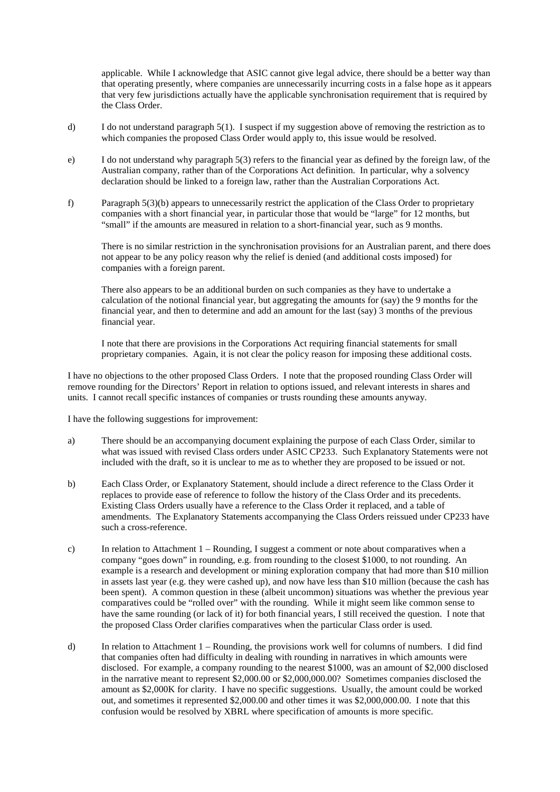applicable. While I acknowledge that ASIC cannot give legal advice, there should be a better way than that operating presently, where companies are unnecessarily incurring costs in a false hope as it appears that very few jurisdictions actually have the applicable synchronisation requirement that is required by the Class Order.

- d) I do not understand paragraph 5(1). I suspect if my suggestion above of removing the restriction as to which companies the proposed Class Order would apply to, this issue would be resolved.
- e) I do not understand why paragraph 5(3) refers to the financial year as defined by the foreign law, of the Australian company, rather than of the Corporations Act definition. In particular, why a solvency declaration should be linked to a foreign law, rather than the Australian Corporations Act.
- f) Paragraph 5(3)(b) appears to unnecessarily restrict the application of the Class Order to proprietary companies with a short financial year, in particular those that would be "large" for 12 months, but "small" if the amounts are measured in relation to a short-financial year, such as 9 months.

There is no similar restriction in the synchronisation provisions for an Australian parent, and there does not appear to be any policy reason why the relief is denied (and additional costs imposed) for companies with a foreign parent.

There also appears to be an additional burden on such companies as they have to undertake a calculation of the notional financial year, but aggregating the amounts for (say) the 9 months for the financial year, and then to determine and add an amount for the last (say) 3 months of the previous financial year.

I note that there are provisions in the Corporations Act requiring financial statements for small proprietary companies. Again, it is not clear the policy reason for imposing these additional costs.

I have no objections to the other proposed Class Orders. I note that the proposed rounding Class Order will remove rounding for the Directors' Report in relation to options issued, and relevant interests in shares and units. I cannot recall specific instances of companies or trusts rounding these amounts anyway.

I have the following suggestions for improvement:

- a) There should be an accompanying document explaining the purpose of each Class Order, similar to what was issued with revised Class orders under ASIC CP233. Such Explanatory Statements were not included with the draft, so it is unclear to me as to whether they are proposed to be issued or not.
- b) Each Class Order, or Explanatory Statement, should include a direct reference to the Class Order it replaces to provide ease of reference to follow the history of the Class Order and its precedents. Existing Class Orders usually have a reference to the Class Order it replaced, and a table of amendments. The Explanatory Statements accompanying the Class Orders reissued under CP233 have such a cross-reference.
- c) In relation to Attachment  $1 -$ Rounding, I suggest a comment or note about comparatives when a company "goes down" in rounding, e.g. from rounding to the closest \$1000, to not rounding. An example is a research and development or mining exploration company that had more than \$10 million in assets last year (e.g. they were cashed up), and now have less than \$10 million (because the cash has been spent). A common question in these (albeit uncommon) situations was whether the previous year comparatives could be "rolled over" with the rounding. While it might seem like common sense to have the same rounding (or lack of it) for both financial years, I still received the question. I note that the proposed Class Order clarifies comparatives when the particular Class order is used.
- d) In relation to Attachment 1 Rounding, the provisions work well for columns of numbers. I did find that companies often had difficulty in dealing with rounding in narratives in which amounts were disclosed. For example, a company rounding to the nearest \$1000, was an amount of \$2,000 disclosed in the narrative meant to represent \$2,000.00 or \$2,000,000.00? Sometimes companies disclosed the amount as \$2,000K for clarity. I have no specific suggestions. Usually, the amount could be worked out, and sometimes it represented \$2,000.00 and other times it was \$2,000,000.00. I note that this confusion would be resolved by XBRL where specification of amounts is more specific.